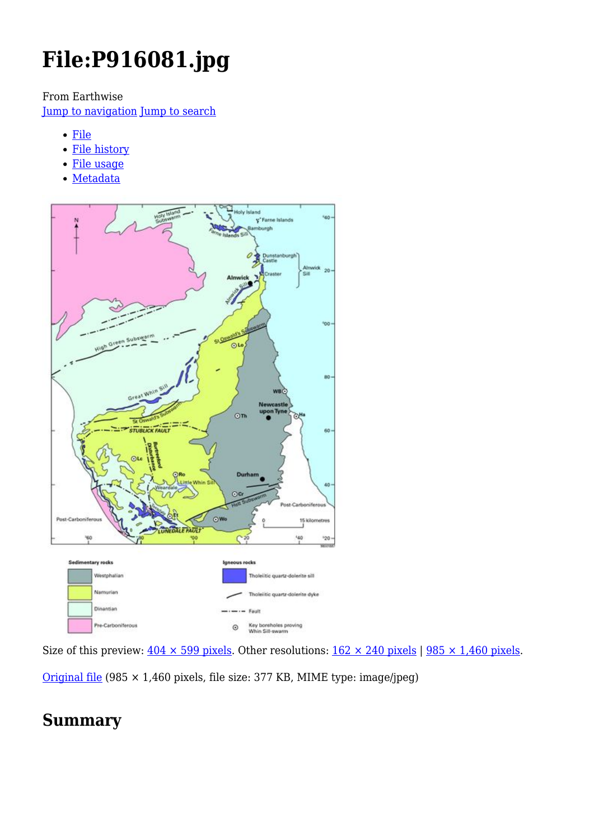# **File:P916081.jpg**

From Earthwise

[Jump to navigation](#page--1-0) [Jump to search](#page--1-0)

- [File](#page--1-0)
- [File history](#page--1-0)
- [File usage](#page--1-0)
- [Metadata](#page--1-0)



Size of this preview:  $404 \times 599$  pixels. Other resolutions:  $162 \times 240$  pixels | 985  $\times$  1,460 pixels.

[Original file](http://earthwise.bgs.ac.uk/images/9/9b/P916081.jpg) (985 × 1,460 pixels, file size: 377 KB, MIME type: image/jpeg)

## **Summary**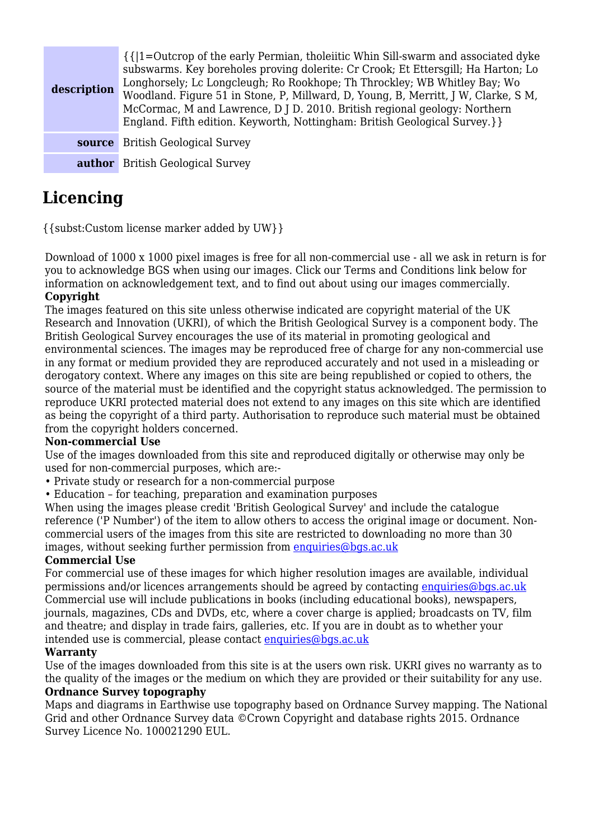| description | $\{\{\vert 1=0$ utcrop of the early Permian, tholeiitic Whin Sill-swarm and associated dyke<br>subswarms. Key boreholes proving dolerite: Cr Crook; Et Ettersgill; Ha Harton; Lo<br>Longhorsely; Lc Longcleugh; Ro Rookhope; Th Throckley; WB Whitley Bay; Wo<br>Woodland. Figure 51 in Stone, P, Millward, D, Young, B, Merritt, J W, Clarke, S M,<br>McCormac, M and Lawrence, D J D. 2010. British regional geology: Northern<br>England. Fifth edition. Keyworth, Nottingham: British Geological Survey.}} |
|-------------|----------------------------------------------------------------------------------------------------------------------------------------------------------------------------------------------------------------------------------------------------------------------------------------------------------------------------------------------------------------------------------------------------------------------------------------------------------------------------------------------------------------|
| source      | <b>British Geological Survey</b>                                                                                                                                                                                                                                                                                                                                                                                                                                                                               |
|             | <b>author</b> British Geological Survey                                                                                                                                                                                                                                                                                                                                                                                                                                                                        |

## **Licencing**

{{subst:Custom license marker added by UW}}

Download of 1000 x 1000 pixel images is free for all non-commercial use - all we ask in return is for you to acknowledge BGS when using our images. Click our Terms and Conditions link below for information on acknowledgement text, and to find out about using our images commercially. **Copyright**

The images featured on this site unless otherwise indicated are copyright material of the UK Research and Innovation (UKRI), of which the British Geological Survey is a component body. The British Geological Survey encourages the use of its material in promoting geological and environmental sciences. The images may be reproduced free of charge for any non-commercial use in any format or medium provided they are reproduced accurately and not used in a misleading or derogatory context. Where any images on this site are being republished or copied to others, the source of the material must be identified and the copyright status acknowledged. The permission to reproduce UKRI protected material does not extend to any images on this site which are identified as being the copyright of a third party. Authorisation to reproduce such material must be obtained from the copyright holders concerned.

#### **Non-commercial Use**

Use of the images downloaded from this site and reproduced digitally or otherwise may only be used for non-commercial purposes, which are:-

- Private study or research for a non-commercial purpose
- Education for teaching, preparation and examination purposes

When using the images please credit 'British Geological Survey' and include the catalogue reference ('P Number') of the item to allow others to access the original image or document. Noncommercial users of the images from this site are restricted to downloading no more than 30 images, without seeking further permission from [enquiries@bgs.ac.uk](mailto:enquiries@bgs.ac.uk)

#### **Commercial Use**

For commercial use of these images for which higher resolution images are available, individual permissions and/or licences arrangements should be agreed by contacting [enquiries@bgs.ac.uk](mailto:enquiries@bgs.ac.uk) Commercial use will include publications in books (including educational books), newspapers, journals, magazines, CDs and DVDs, etc, where a cover charge is applied; broadcasts on TV, film and theatre; and display in trade fairs, galleries, etc. If you are in doubt as to whether your intended use is commercial, please contact [enquiries@bgs.ac.uk](mailto:enquiries@bgs.ac.uk)

#### **Warranty**

Use of the images downloaded from this site is at the users own risk. UKRI gives no warranty as to the quality of the images or the medium on which they are provided or their suitability for any use. **Ordnance Survey topography**

Maps and diagrams in Earthwise use topography based on Ordnance Survey mapping. The National Grid and other Ordnance Survey data ©Crown Copyright and database rights 2015. Ordnance Survey Licence No. 100021290 EUL.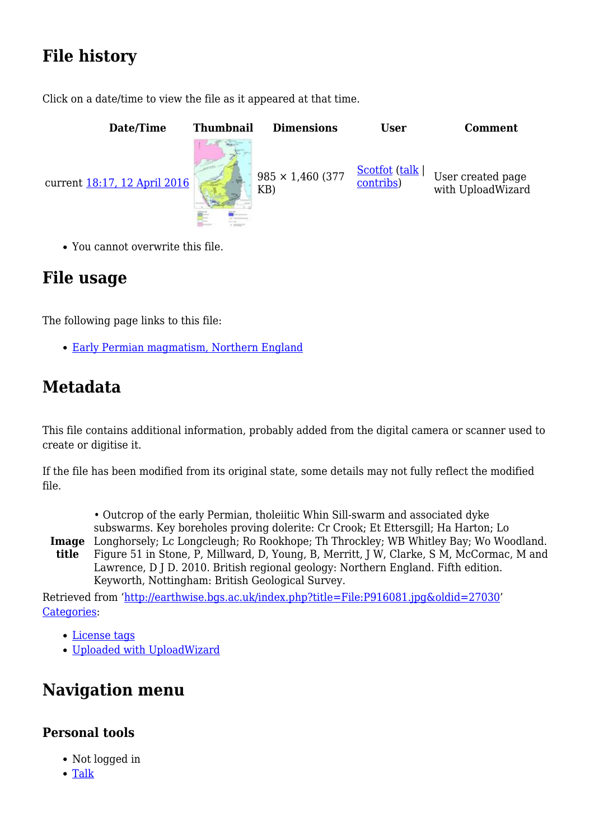## **File history**

Click on a date/time to view the file as it appeared at that time.



You cannot overwrite this file.

## **File usage**

The following page links to this file:

[Early Permian magmatism, Northern England](http://earthwise.bgs.ac.uk/index.php/Early_Permian_magmatism,_Northern_England)

## **Metadata**

This file contains additional information, probably added from the digital camera or scanner used to create or digitise it.

If the file has been modified from its original state, some details may not fully reflect the modified file.

- Outcrop of the early Permian, tholeiitic Whin Sill-swarm and associated dyke subswarms. Key boreholes proving dolerite: Cr Crook; Et Ettersgill; Ha Harton; Lo
- **Image** Longhorsely; Lc Longcleugh; Ro Rookhope; Th Throckley; WB Whitley Bay; Wo Woodland. **title** Figure 51 in Stone, P, Millward, D, Young, B, Merritt, J W, Clarke, S M, McCormac, M and Lawrence, D J D. 2010. British regional geology: Northern England. Fifth edition. Keyworth, Nottingham: British Geological Survey.

Retrieved from ['http://earthwise.bgs.ac.uk/index.php?title=File:P916081.jpg&oldid=27030](http://earthwise.bgs.ac.uk/index.php?title=File:P916081.jpg&oldid=27030)' [Categories:](http://earthwise.bgs.ac.uk/index.php/Special:Categories)

- [License tags](http://earthwise.bgs.ac.uk/index.php/Category:License_tags)
- [Uploaded with UploadWizard](http://earthwise.bgs.ac.uk/index.php/Category:Uploaded_with_UploadWizard)

## **Navigation menu**

## **Personal tools**

- Not logged in
- [Talk](http://earthwise.bgs.ac.uk/index.php/Special:MyTalk)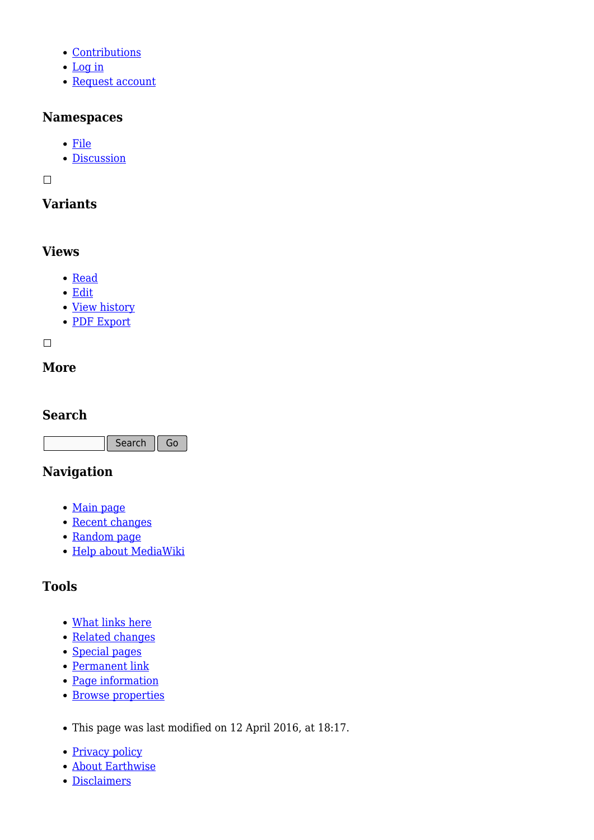- [Contributions](http://earthwise.bgs.ac.uk/index.php/Special:MyContributions)
- [Log in](http://earthwise.bgs.ac.uk/index.php?title=Special:UserLogin&returnto=File%3AP916081.jpg&returntoquery=action%3Dmpdf)
- [Request account](http://earthwise.bgs.ac.uk/index.php/Special:RequestAccount)

### **Namespaces**

- [File](http://earthwise.bgs.ac.uk/index.php/File:P916081.jpg)
- [Discussion](http://earthwise.bgs.ac.uk/index.php?title=File_talk:P916081.jpg&action=edit&redlink=1)

 $\Box$ 

## **Variants**

## **Views**

- [Read](http://earthwise.bgs.ac.uk/index.php/File:P916081.jpg)
- [Edit](http://earthwise.bgs.ac.uk/index.php?title=File:P916081.jpg&action=edit)
- [View history](http://earthwise.bgs.ac.uk/index.php?title=File:P916081.jpg&action=history)
- [PDF Export](http://earthwise.bgs.ac.uk/index.php?title=File:P916081.jpg&action=mpdf)

 $\Box$ 

## **More**

### **Search**

Search Go

## **Navigation**

- [Main page](http://earthwise.bgs.ac.uk/index.php/Main_Page)
- [Recent changes](http://earthwise.bgs.ac.uk/index.php/Special:RecentChanges)
- [Random page](http://earthwise.bgs.ac.uk/index.php/Special:Random)
- [Help about MediaWiki](https://www.mediawiki.org/wiki/Special:MyLanguage/Help:Contents)

## **Tools**

- [What links here](http://earthwise.bgs.ac.uk/index.php/Special:WhatLinksHere/File:P916081.jpg)
- [Related changes](http://earthwise.bgs.ac.uk/index.php/Special:RecentChangesLinked/File:P916081.jpg)
- [Special pages](http://earthwise.bgs.ac.uk/index.php/Special:SpecialPages)
- [Permanent link](http://earthwise.bgs.ac.uk/index.php?title=File:P916081.jpg&oldid=27030)
- [Page information](http://earthwise.bgs.ac.uk/index.php?title=File:P916081.jpg&action=info)
- [Browse properties](http://earthwise.bgs.ac.uk/index.php/Special:Browse/:File:P916081.jpg)
- This page was last modified on 12 April 2016, at 18:17.
- [Privacy policy](http://earthwise.bgs.ac.uk/index.php/Earthwise:Privacy_policy)
- [About Earthwise](http://earthwise.bgs.ac.uk/index.php/Earthwise:About)
- [Disclaimers](http://earthwise.bgs.ac.uk/index.php/Earthwise:General_disclaimer)